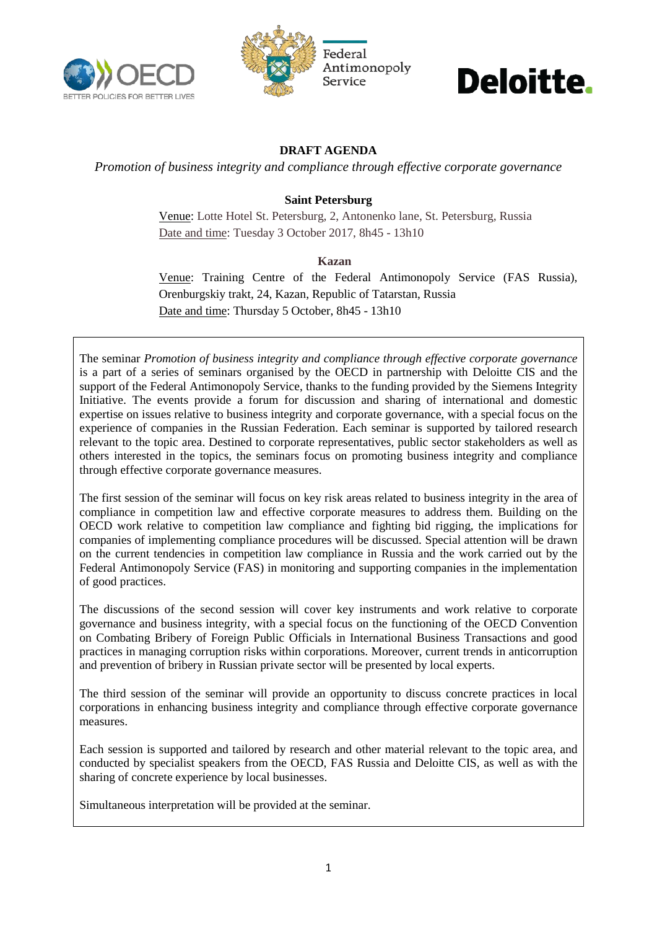



## Deloitte.

## **DRAFT AGENDA**

*Promotion of business integrity and compliance through effective corporate governance*

### **Saint Petersburg**

Venue: Lotte Hotel St. Petersburg, 2, Antonenko lane, St. Petersburg, Russia Date and time: Tuesday 3 October 2017, 8h45 - 13h10

#### **Kazan**

Venue: Training Centre of the Federal Antimonopoly Service (FAS Russia), Orenburgskiy trakt, 24, Kazan, Republic of Tatarstan, Russia Date and time: Thursday 5 October, 8h45 - 13h10

The seminar *Promotion of business integrity and compliance through effective corporate governance* is a part of a series of seminars organised by the OECD in partnership with Deloitte CIS and the support of the Federal Antimonopoly Service, thanks to the funding provided by the Siemens Integrity Initiative. The events provide a forum for discussion and sharing of international and domestic expertise on issues relative to business integrity and corporate governance, with a special focus on the experience of companies in the Russian Federation. Each seminar is supported by tailored research relevant to the topic area. Destined to corporate representatives, public sector stakeholders as well as others interested in the topics, the seminars focus on promoting business integrity and compliance through effective corporate governance measures.

The first session of the seminar will focus on key risk areas related to business integrity in the area of compliance in competition law and effective corporate measures to address them. Building on the OECD work relative to competition law compliance and fighting bid rigging, the implications for companies of implementing compliance procedures will be discussed. Special attention will be drawn on the current tendencies in competition law compliance in Russia and the work carried out by the Federal Antimonopoly Service (FAS) in monitoring and supporting companies in the implementation of good practices.

The discussions of the second session will cover key instruments and work relative to corporate governance and business integrity, with a special focus on the functioning of the OECD Convention on Combating Bribery of Foreign Public Officials in International Business Transactions and good practices in managing corruption risks within corporations. Moreover, current trends in anticorruption and prevention of bribery in Russian private sector will be presented by local experts.

The third session of the seminar will provide an opportunity to discuss concrete practices in local corporations in enhancing business integrity and compliance through effective corporate governance measures.

Each session is supported and tailored by research and other material relevant to the topic area, and conducted by specialist speakers from the OECD, FAS Russia and Deloitte CIS, as well as with the sharing of concrete experience by local businesses.

Simultaneous interpretation will be provided at the seminar.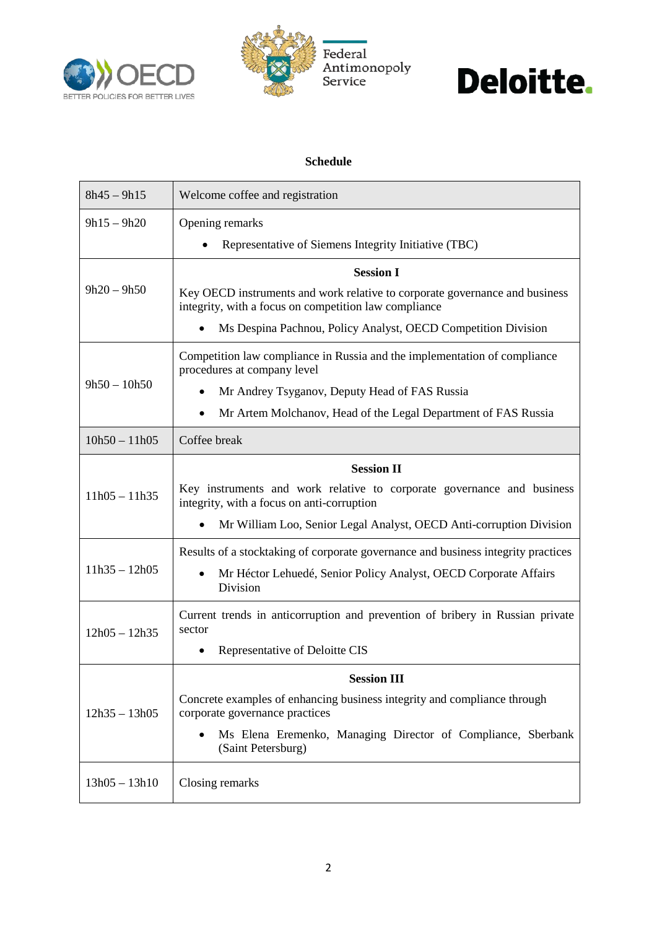





#### **Schedule**

| $8h45 - 9h15$   | Welcome coffee and registration                                                                                                      |
|-----------------|--------------------------------------------------------------------------------------------------------------------------------------|
| $9h15 - 9h20$   | Opening remarks                                                                                                                      |
|                 | Representative of Siemens Integrity Initiative (TBC)                                                                                 |
| $9h20 - 9h50$   | <b>Session I</b>                                                                                                                     |
|                 | Key OECD instruments and work relative to corporate governance and business<br>integrity, with a focus on competition law compliance |
|                 | Ms Despina Pachnou, Policy Analyst, OECD Competition Division                                                                        |
| $9h50 - 10h50$  | Competition law compliance in Russia and the implementation of compliance<br>procedures at company level                             |
|                 | Mr Andrey Tsyganov, Deputy Head of FAS Russia<br>$\bullet$                                                                           |
|                 | Mr Artem Molchanov, Head of the Legal Department of FAS Russia<br>$\bullet$                                                          |
| $10h50 - 11h05$ | Coffee break                                                                                                                         |
| $11h05 - 11h35$ | <b>Session II</b>                                                                                                                    |
|                 | Key instruments and work relative to corporate governance and business<br>integrity, with a focus on anti-corruption                 |
|                 | Mr William Loo, Senior Legal Analyst, OECD Anti-corruption Division                                                                  |
| $11h35 - 12h05$ | Results of a stocktaking of corporate governance and business integrity practices                                                    |
|                 | Mr Héctor Lehuedé, Senior Policy Analyst, OECD Corporate Affairs<br>$\bullet$<br>Division                                            |
| $12h05 - 12h35$ | Current trends in anticorruption and prevention of bribery in Russian private<br>sector                                              |
|                 | Representative of Deloitte CIS<br>٠                                                                                                  |
|                 | <b>Session III</b>                                                                                                                   |
| $12h35 - 13h05$ | Concrete examples of enhancing business integrity and compliance through<br>corporate governance practices                           |
|                 | Ms Elena Eremenko, Managing Director of Compliance, Sberbank<br>$\bullet$<br>(Saint Petersburg)                                      |
| $13h05 - 13h10$ | Closing remarks                                                                                                                      |